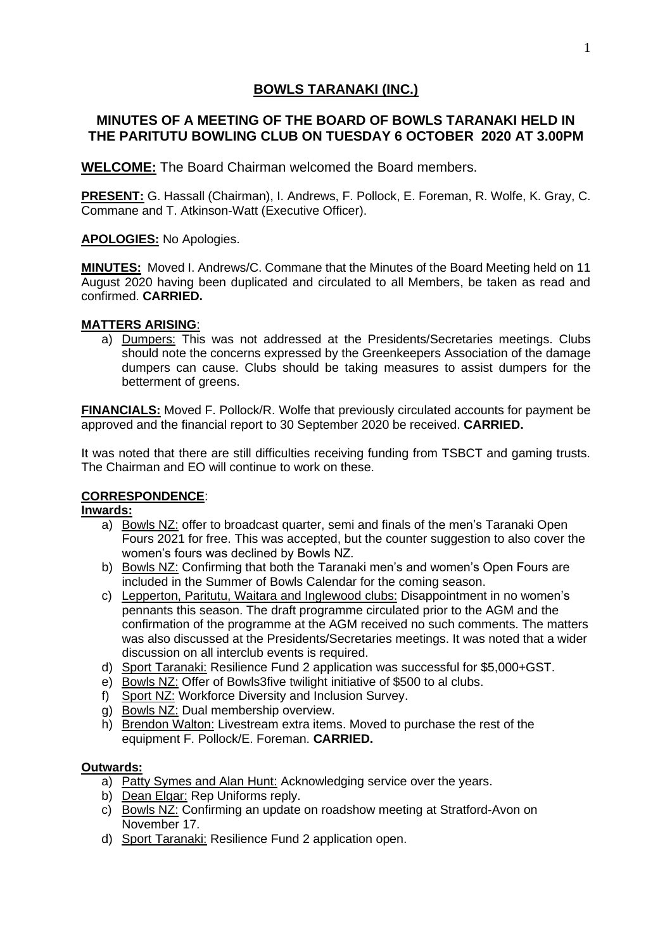# **BOWLS TARANAKI (INC.)**

## **MINUTES OF A MEETING OF THE BOARD OF BOWLS TARANAKI HELD IN THE PARITUTU BOWLING CLUB ON TUESDAY 6 OCTOBER 2020 AT 3.00PM**

**WELCOME:** The Board Chairman welcomed the Board members.

**PRESENT:** G. Hassall (Chairman), I. Andrews, F. Pollock, E. Foreman, R. Wolfe, K. Gray, C. Commane and T. Atkinson-Watt (Executive Officer).

**APOLOGIES:** No Apologies.

**MINUTES:** Moved I. Andrews/C. Commane that the Minutes of the Board Meeting held on 11 August 2020 having been duplicated and circulated to all Members, be taken as read and confirmed. **CARRIED.**

### **MATTERS ARISING**:

a) Dumpers: This was not addressed at the Presidents/Secretaries meetings. Clubs should note the concerns expressed by the Greenkeepers Association of the damage dumpers can cause. Clubs should be taking measures to assist dumpers for the betterment of greens.

**FINANCIALS:** Moved F. Pollock/R. Wolfe that previously circulated accounts for payment be approved and the financial report to 30 September 2020 be received. **CARRIED.**

It was noted that there are still difficulties receiving funding from TSBCT and gaming trusts. The Chairman and EO will continue to work on these.

### **CORRESPONDENCE**:

### **Inwards:**

- a) Bowls NZ: offer to broadcast quarter, semi and finals of the men's Taranaki Open Fours 2021 for free. This was accepted, but the counter suggestion to also cover the women's fours was declined by Bowls NZ.
- b) Bowls NZ: Confirming that both the Taranaki men's and women's Open Fours are included in the Summer of Bowls Calendar for the coming season.
- c) Lepperton, Paritutu, Waitara and Inglewood clubs: Disappointment in no women's pennants this season. The draft programme circulated prior to the AGM and the confirmation of the programme at the AGM received no such comments. The matters was also discussed at the Presidents/Secretaries meetings. It was noted that a wider discussion on all interclub events is required.
- d) Sport Taranaki: Resilience Fund 2 application was successful for \$5,000+GST.
- e) Bowls NZ: Offer of Bowls3five twilight initiative of \$500 to al clubs.
- f) Sport NZ: Workforce Diversity and Inclusion Survey.
- g) Bowls NZ: Dual membership overview.
- h) Brendon Walton: Livestream extra items. Moved to purchase the rest of the equipment F. Pollock/E. Foreman. **CARRIED.**

### **Outwards:**

- a) Patty Symes and Alan Hunt: Acknowledging service over the years.
- b) Dean Elgar: Rep Uniforms reply.
- c) Bowls NZ: Confirming an update on roadshow meeting at Stratford-Avon on November 17.
- d) Sport Taranaki: Resilience Fund 2 application open.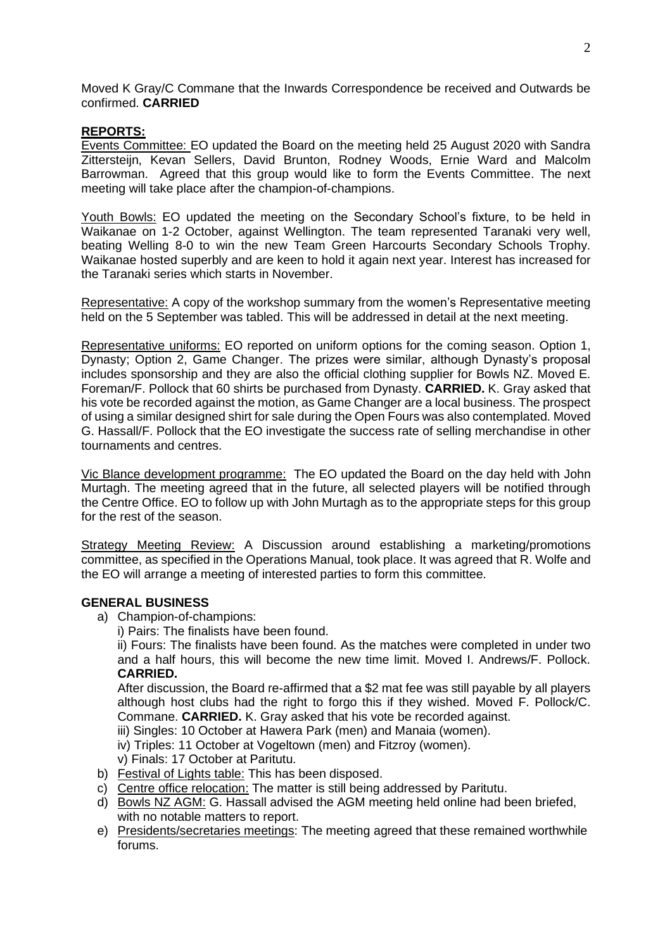Moved K Gray/C Commane that the Inwards Correspondence be received and Outwards be confirmed. **CARRIED**

#### **REPORTS:**

Events Committee: EO updated the Board on the meeting held 25 August 2020 with Sandra Zittersteijn, Kevan Sellers, David Brunton, Rodney Woods, Ernie Ward and Malcolm Barrowman. Agreed that this group would like to form the Events Committee. The next meeting will take place after the champion-of-champions.

Youth Bowls: EO updated the meeting on the Secondary School's fixture, to be held in Waikanae on 1-2 October, against Wellington. The team represented Taranaki very well, beating Welling 8-0 to win the new Team Green Harcourts Secondary Schools Trophy. Waikanae hosted superbly and are keen to hold it again next year. Interest has increased for the Taranaki series which starts in November.

Representative: A copy of the workshop summary from the women's Representative meeting held on the 5 September was tabled. This will be addressed in detail at the next meeting.

Representative uniforms: EO reported on uniform options for the coming season. Option 1, Dynasty; Option 2, Game Changer. The prizes were similar, although Dynasty's proposal includes sponsorship and they are also the official clothing supplier for Bowls NZ. Moved E. Foreman/F. Pollock that 60 shirts be purchased from Dynasty. **CARRIED.** K. Gray asked that his vote be recorded against the motion, as Game Changer are a local business. The prospect of using a similar designed shirt for sale during the Open Fours was also contemplated. Moved G. Hassall/F. Pollock that the EO investigate the success rate of selling merchandise in other tournaments and centres.

Vic Blance development programme: The EO updated the Board on the day held with John Murtagh. The meeting agreed that in the future, all selected players will be notified through the Centre Office. EO to follow up with John Murtagh as to the appropriate steps for this group for the rest of the season.

Strategy Meeting Review: A Discussion around establishing a marketing/promotions committee, as specified in the Operations Manual, took place. It was agreed that R. Wolfe and the EO will arrange a meeting of interested parties to form this committee.

#### **GENERAL BUSINESS**

- a) Champion-of-champions:
	- i) Pairs: The finalists have been found.

ii) Fours: The finalists have been found. As the matches were completed in under two and a half hours, this will become the new time limit. Moved I. Andrews/F. Pollock. **CARRIED.**

After discussion, the Board re-affirmed that a \$2 mat fee was still payable by all players although host clubs had the right to forgo this if they wished. Moved F. Pollock/C. Commane. **CARRIED.** K. Gray asked that his vote be recorded against.

iii) Singles: 10 October at Hawera Park (men) and Manaia (women).

iv) Triples: 11 October at Vogeltown (men) and Fitzroy (women).

- v) Finals: 17 October at Paritutu.
- b) Festival of Lights table: This has been disposed.
- c) Centre office relocation: The matter is still being addressed by Paritutu.
- d) Bowls NZ AGM: G. Hassall advised the AGM meeting held online had been briefed, with no notable matters to report.
- e) Presidents/secretaries meetings: The meeting agreed that these remained worthwhile forums.